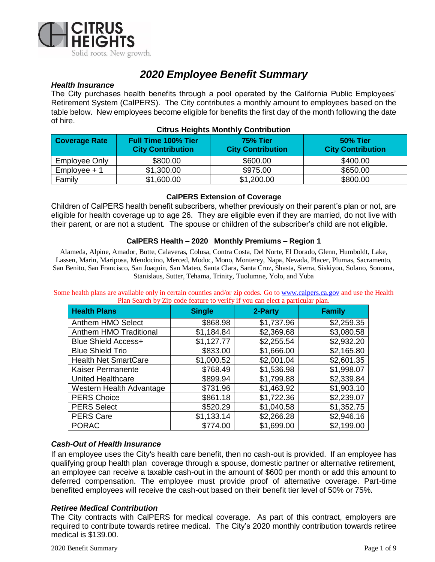

# *2020 Employee Benefit Summary*

#### *Health Insurance*

The City purchases health benefits through a pool operated by the California Public Employees' Retirement System (CalPERS). The City contributes a monthly amount to employees based on the table below. New employees become eligible for benefits the first day of the month following the date of hire.

| Coverage Rate  | <b>Full Time 100% Tier</b><br><b>City Contribution</b> | <b>75% Tier</b><br><b>City Contribution</b> | <b>50% Tier</b><br><b>City Contribution</b> |
|----------------|--------------------------------------------------------|---------------------------------------------|---------------------------------------------|
| Employee Only  | \$800.00                                               | \$600.00                                    | \$400.00                                    |
| $Employee + 1$ | \$1,300.00                                             | \$975.00                                    | \$650.00                                    |
| Family         | \$1,600.00                                             | \$1,200.00                                  | \$800.00                                    |

#### **Citrus Heights Monthly Contribution**

#### **CalPERS Extension of Coverage**

Children of CalPERS health benefit subscribers, whether previously on their parent's plan or not, are eligible for health coverage up to age 26. They are eligible even if they are married, do not live with their parent, or are not a student. The spouse or children of the subscriber's child are not eligible.

#### **CalPERS Health – 2020 Monthly Premiums – Region 1**

Alameda, Alpine, Amador, Butte, Calaveras, Colusa, Contra Costa, Del Norte, El Dorado, Glenn, Humboldt, Lake, Lassen, Marin, Mariposa, Mendocino, Merced, Modoc, Mono, Monterey, Napa, Nevada, Placer, Plumas, Sacramento, San Benito, San Francisco, San Joaquin, San Mateo, Santa Clara, Santa Cruz, Shasta, Sierra, Siskiyou, Solano, Sonoma, Stanislaus, Sutter, Tehama, Trinity, Tuolumne, Yolo, and Yuba

Some health plans are available only in certain counties and/or zip codes. Go to [www.calpers.ca.gov](http://www.calpers.ca.gov/) and use the Health Plan Search by Zip code feature to verify if you can elect a particular plan.

| Than bearen by Eip code reature to verify if you can creet a particular plan. |               |            |               |  |
|-------------------------------------------------------------------------------|---------------|------------|---------------|--|
| <b>Health Plans</b>                                                           | <b>Single</b> | 2-Party    | <b>Family</b> |  |
| Anthem HMO Select                                                             | \$868.98      | \$1,737.96 | \$2,259.35    |  |
| <b>Anthem HMO Traditional</b>                                                 | \$1,184.84    | \$2,369.68 | \$3,080.58    |  |
| <b>Blue Shield Access+</b>                                                    | \$1,127.77    | \$2,255.54 | \$2,932.20    |  |
| <b>Blue Shield Trio</b>                                                       | \$833.00      | \$1,666.00 | \$2,165.80    |  |
| <b>Health Net SmartCare</b>                                                   | \$1,000.52    | \$2,001.04 | \$2,601.35    |  |
| <b>Kaiser Permanente</b>                                                      | \$768.49      | \$1,536.98 | \$1,998.07    |  |
| <b>United Healthcare</b>                                                      | \$899.94      | \$1,799.88 | \$2,339.84    |  |
| Western Health Advantage                                                      | \$731.96      | \$1,463.92 | \$1,903.10    |  |
| <b>PERS Choice</b>                                                            | \$861.18      | \$1,722.36 | \$2,239.07    |  |
| <b>PERS Select</b>                                                            | \$520.29      | \$1,040.58 | \$1,352.75    |  |
| <b>PERS Care</b>                                                              | \$1,133.14    | \$2,266.28 | \$2,946.16    |  |
| <b>PORAC</b>                                                                  | \$774.00      | \$1,699.00 | \$2,199.00    |  |

#### *Cash-Out of Health Insurance*

If an employee uses the City's health care benefit, then no cash-out is provided. If an employee has qualifying group health plan coverage through a spouse, domestic partner or alternative retirement, an employee can receive a taxable cash-out in the amount of \$600 per month or add this amount to deferred compensation. The employee must provide proof of alternative coverage. Part-time benefited employees will receive the cash-out based on their benefit tier level of 50% or 75%.

#### *Retiree Medical Contribution*

The City contracts with CalPERS for medical coverage. As part of this contract, employers are required to contribute towards retiree medical. The City's 2020 monthly contribution towards retiree medical is \$139.00.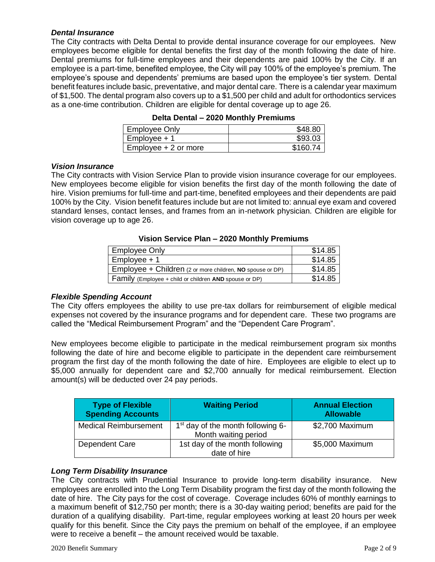#### *Dental Insurance*

The City contracts with Delta Dental to provide dental insurance coverage for our employees. New employees become eligible for dental benefits the first day of the month following the date of hire. Dental premiums for full-time employees and their dependents are paid 100% by the City. If an employee is a part-time, benefited employee, the City will pay 100% of the employee's premium. The employee's spouse and dependents' premiums are based upon the employee's tier system. Dental benefit features include basic, preventative, and major dental care. There is a calendar year maximum of \$1,500. The dental program also covers up to a \$1,500 per child and adult for orthodontics services as a one-time contribution. Children are eligible for dental coverage up to age 26.

| <b>Employee Only</b>   | \$48.80 |
|------------------------|---------|
| $Employee + 1$         | \$93.03 |
| $Employee + 2$ or more |         |

#### **Delta Dental – 2020 Monthly Premiums**

#### *Vision Insurance*

The City contracts with Vision Service Plan to provide vision insurance coverage for our employees. New employees become eligible for vision benefits the first day of the month following the date of hire. Vision premiums for full-time and part-time, benefited employees and their dependents are paid 100% by the City. Vision benefit features include but are not limited to: annual eye exam and covered standard lenses, contact lenses, and frames from an in-network physician. Children are eligible for vision coverage up to age 26.

#### **Vision Service Plan – 2020 Monthly Premiums**

| <b>Employee Only</b>                                      | \$14.85 |
|-----------------------------------------------------------|---------|
| $Employee + 1$                                            | \$14.85 |
| Employee + Children (2 or more children, NO spouse or DP) | \$14.85 |
| Family (Employee + child or children AND spouse or DP)    | \$14.85 |

## *Flexible Spending Account*

The City offers employees the ability to use pre-tax dollars for reimbursement of eligible medical expenses not covered by the insurance programs and for dependent care. These two programs are called the "Medical Reimbursement Program" and the "Dependent Care Program".

New employees become eligible to participate in the medical reimbursement program six months following the date of hire and become eligible to participate in the dependent care reimbursement program the first day of the month following the date of hire. Employees are eligible to elect up to \$5,000 annually for dependent care and \$2,700 annually for medical reimbursement. Election amount(s) will be deducted over 24 pay periods.

| <b>Type of Flexible</b><br><b>Spending Accounts</b> | <b>Waiting Period</b>                                       | <b>Annual Election</b><br><b>Allowable</b> |
|-----------------------------------------------------|-------------------------------------------------------------|--------------------------------------------|
| <b>Medical Reimbursement</b>                        | $1st$ day of the month following 6-<br>Month waiting period | \$2,700 Maximum                            |
| Dependent Care                                      | 1st day of the month following<br>date of hire              | \$5,000 Maximum                            |

## *Long Term Disability Insurance*

The City contracts with Prudential Insurance to provide long-term disability insurance. New employees are enrolled into the Long Term Disability program the first day of the month following the date of hire. The City pays for the cost of coverage. Coverage includes 60% of monthly earnings to a maximum benefit of \$12,750 per month; there is a 30-day waiting period; benefits are paid for the duration of a qualifying disability. Part-time, regular employees working at least 20 hours per week qualify for this benefit. Since the City pays the premium on behalf of the employee, if an employee were to receive a benefit – the amount received would be taxable.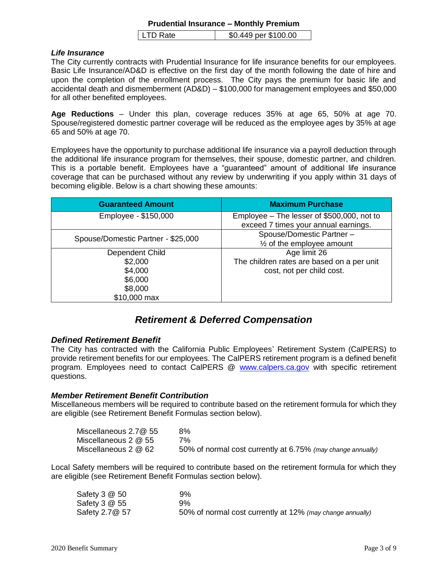#### **Prudential Insurance – Monthly Premium**

#### *Life Insurance*

The City currently contracts with Prudential Insurance for life insurance benefits for our employees. Basic Life Insurance/AD&D is effective on the first day of the month following the date of hire and upon the completion of the enrollment process. The City pays the premium for basic life and accidental death and dismemberment (AD&D) – \$100,000 for management employees and \$50,000 for all other benefited employees.

**Age Reductions** – Under this plan, coverage reduces 35% at age 65, 50% at age 70. Spouse/registered domestic partner coverage will be reduced as the employee ages by 35% at age 65 and 50% at age 70.

Employees have the opportunity to purchase additional life insurance via a payroll deduction through the additional life insurance program for themselves, their spouse, domestic partner, and children. This is a portable benefit. Employees have a "guaranteed" amount of additional life insurance coverage that can be purchased without any review by underwriting if you apply within 31 days of becoming eligible. Below is a chart showing these amounts:

| <b>Guaranteed Amount</b>           | <b>Maximum Purchase</b>                    |  |
|------------------------------------|--------------------------------------------|--|
| Employee - \$150,000               | Employee - The lesser of \$500,000, not to |  |
|                                    | exceed 7 times your annual earnings.       |  |
| Spouse/Domestic Partner - \$25,000 | Spouse/Domestic Partner -                  |  |
|                                    | $\frac{1}{2}$ of the employee amount       |  |
| Dependent Child                    | Age limit 26                               |  |
| \$2,000                            | The children rates are based on a per unit |  |
| \$4,000                            | cost, not per child cost.                  |  |
| \$6,000                            |                                            |  |
| \$8,000                            |                                            |  |
| \$10,000 max                       |                                            |  |

## *Retirement & Deferred Compensation*

## *Defined Retirement Benefit*

The City has contracted with the California Public Employees' Retirement System (CalPERS) to provide retirement benefits for our employees. The CalPERS retirement program is a defined benefit program. Employees need to contact CalPERS @ [www.calpers.ca.gov](http://www.calpers.ca.gov/) with specific retirement questions.

## *Member Retirement Benefit Contribution*

Miscellaneous members will be required to contribute based on the retirement formula for which they are eligible (see Retirement Benefit Formulas section below).

| Miscellaneous 2.7@ 55 | 8%                                                          |
|-----------------------|-------------------------------------------------------------|
| Miscellaneous 2 @ 55  | 7%                                                          |
| Miscellaneous 2 @ 62  | 50% of normal cost currently at 6.75% (may change annually) |

Local Safety members will be required to contribute based on the retirement formula for which they are eligible (see Retirement Benefit Formulas section below).

| Safety 3 @ 50   | 9%                                                        |
|-----------------|-----------------------------------------------------------|
| Safety 3 @ 55   | 9%                                                        |
| Safety 2.7 @ 57 | 50% of normal cost currently at 12% (may change annually) |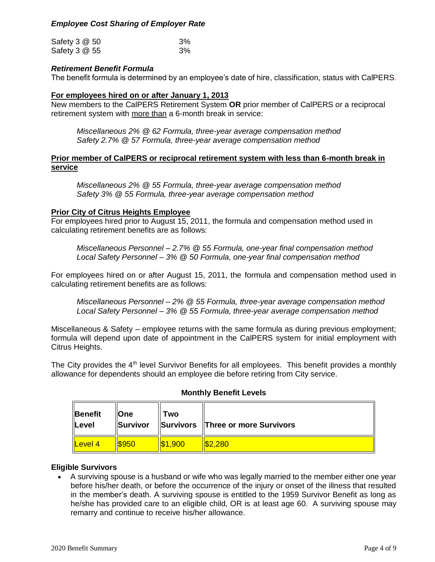## *Employee Cost Sharing of Employer Rate*

| Safety 3 @ 50 | 3% |
|---------------|----|
| Safety 3 @ 55 | 3% |

## *Retirement Benefit Formula*

The benefit formula is determined by an employee's date of hire, classification, status with CalPERS.

#### **For employees hired on or after January 1, 2013**

New members to the CalPERS Retirement System **OR** prior member of CalPERS or a reciprocal retirement system with more than a 6-month break in service:

*Miscellaneous 2% @ 62 Formula, three-year average compensation method Safety 2.7% @ 57 Formula, three-year average compensation method*

#### **Prior member of CalPERS or reciprocal retirement system with less than 6-month break in service**

*Miscellaneous 2% @ 55 Formula, three-year average compensation method Safety 3% @ 55 Formula, three-year average compensation method*

#### **Prior City of Citrus Heights Employee**

For employees hired prior to August 15, 2011, the formula and compensation method used in calculating retirement benefits are as follows:

*Miscellaneous Personnel – [2.7% @ 55](mailto:2.7%25@55) Formula, one-year final compensation method Local Safety Personnel – 3% @ 50 Formula, one-year final compensation method*

For employees hired on or after August 15, 2011, the formula and compensation method used in calculating retirement benefits are as follows:

*Miscellaneous Personnel – 2% @ 55 Formula, three-year average compensation method Local Safety Personnel – 3% @ 55 Formula, three-year average compensation method*

Miscellaneous & Safety – employee returns with the same formula as during previous employment; formula will depend upon date of appointment in the CalPERS system for initial employment with Citrus Heights.

The City provides the 4<sup>th</sup> level Survivor Benefits for all employees. This benefit provides a monthly allowance for dependents should an employee die before retiring from City service.

| Benefit<br>Level | <b>I</b> One<br>Survivor | Two             | Survivors Three or more Survivors |
|------------------|--------------------------|-----------------|-----------------------------------|
| Level 4          | <u> ISQ50</u>            | $\sqrt{31.900}$ | \$2.280                           |

## **Monthly Benefit Levels**

#### **Eligible Survivors**

 A surviving spouse is a husband or wife who was legally married to the member either one year before his/her death, or before the occurrence of the injury or onset of the illness that resulted in the member's death. A surviving spouse is entitled to the 1959 Survivor Benefit as long as he/she has provided care to an eligible child, OR is at least age 60. A surviving spouse may remarry and continue to receive his/her allowance.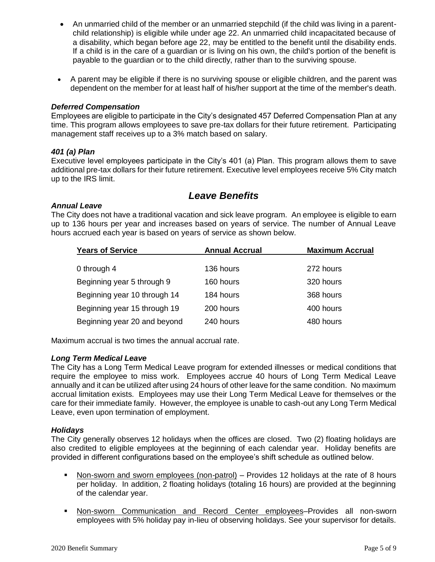- An unmarried child of the member or an unmarried stepchild (if the child was living in a parentchild relationship) is eligible while under age 22. An unmarried child incapacitated because of a disability, which began before age 22, may be entitled to the benefit until the disability ends. If a child is in the care of a guardian or is living on his own, the child's portion of the benefit is payable to the guardian or to the child directly, rather than to the surviving spouse.
- A parent may be eligible if there is no surviving spouse or eligible children, and the parent was dependent on the member for at least half of his/her support at the time of the member's death.

#### *Deferred Compensation*

Employees are eligible to participate in the City's designated 457 Deferred Compensation Plan at any time. This program allows employees to save pre-tax dollars for their future retirement. Participating management staff receives up to a 3% match based on salary.

#### *401 (a) Plan*

Executive level employees participate in the City's 401 (a) Plan. This program allows them to save additional pre-tax dollars for their future retirement. Executive level employees receive 5% City match up to the IRS limit.

## *Leave Benefits*

#### *Annual Leave*

The City does not have a traditional vacation and sick leave program. An employee is eligible to earn up to 136 hours per year and increases based on years of service. The number of Annual Leave hours accrued each year is based on years of service as shown below.

| <b>Years of Service</b>      | <b>Annual Accrual</b> | <b>Maximum Accrual</b> |
|------------------------------|-----------------------|------------------------|
|                              |                       |                        |
| 0 through 4                  | 136 hours             | 272 hours              |
| Beginning year 5 through 9   | 160 hours             | 320 hours              |
| Beginning year 10 through 14 | 184 hours             | 368 hours              |
| Beginning year 15 through 19 | 200 hours             | 400 hours              |
| Beginning year 20 and beyond | 240 hours             | 480 hours              |

Maximum accrual is two times the annual accrual rate.

#### *Long Term Medical Leave*

The City has a Long Term Medical Leave program for extended illnesses or medical conditions that require the employee to miss work. Employees accrue 40 hours of Long Term Medical Leave annually and it can be utilized after using 24 hours of other leave for the same condition. No maximum accrual limitation exists. Employees may use their Long Term Medical Leave for themselves or the care for their immediate family. However, the employee is unable to cash-out any Long Term Medical Leave, even upon termination of employment.

#### *Holidays*

The City generally observes 12 holidays when the offices are closed. Two (2) floating holidays are also credited to eligible employees at the beginning of each calendar year. Holiday benefits are provided in different configurations based on the employee's shift schedule as outlined below.

- Non-sworn and sworn employees (non-patrol) Provides 12 holidays at the rate of 8 hours per holiday. In addition, 2 floating holidays (totaling 16 hours) are provided at the beginning of the calendar year.
- Non-sworn Communication and Record Center employees–Provides all non-sworn employees with 5% holiday pay in-lieu of observing holidays. See your supervisor for details.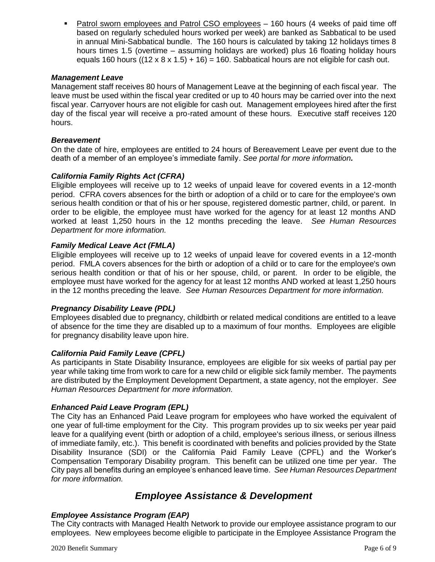Patrol sworn employees and Patrol CSO employees – 160 hours (4 weeks of paid time off based on regularly scheduled hours worked per week) are banked as Sabbatical to be used in annual Mini-Sabbatical bundle. The 160 hours is calculated by taking 12 holidays times 8 hours times 1.5 (overtime – assuming holidays are worked) plus 16 floating holiday hours equals 160 hours ((12 x 8 x 1.5) + 16) = 160. Sabbatical hours are not eligible for cash out.

## *Management Leave*

Management staff receives 80 hours of Management Leave at the beginning of each fiscal year. The leave must be used within the fiscal year credited or up to 40 hours may be carried over into the next fiscal year. Carryover hours are not eligible for cash out. Management employees hired after the first day of the fiscal year will receive a pro-rated amount of these hours. Executive staff receives 120 hours.

#### *Bereavement*

On the date of hire, employees are entitled to 24 hours of Bereavement Leave per event due to the death of a member of an employee's immediate family. *See portal for more information.*

#### *California Family Rights Act (CFRA)*

Eligible employees will receive up to 12 weeks of unpaid leave for covered events in a 12-month period. CFRA covers absences for the birth or adoption of a child or to care for the employee's own serious health condition or that of his or her spouse, registered domestic partner, child, or parent. In order to be eligible, the employee must have worked for the agency for at least 12 months AND worked at least 1,250 hours in the 12 months preceding the leave. *See Human Resources Department for more information.*

#### *Family Medical Leave Act (FMLA)*

Eligible employees will receive up to 12 weeks of unpaid leave for covered events in a 12-month period. FMLA covers absences for the birth or adoption of a child or to care for the employee's own serious health condition or that of his or her spouse, child, or parent. In order to be eligible, the employee must have worked for the agency for at least 12 months AND worked at least 1,250 hours in the 12 months preceding the leave. *See Human Resources Department for more information.*

#### *Pregnancy Disability Leave (PDL)*

Employees disabled due to pregnancy, childbirth or related medical conditions are entitled to a leave of absence for the time they are disabled up to a maximum of four months. Employees are eligible for pregnancy disability leave upon hire.

## *California Paid Family Leave (CPFL)*

As participants in State Disability Insurance, employees are eligible for six weeks of partial pay per year while taking time from work to care for a new child or eligible sick family member. The payments are distributed by the Employment Development Department, a state agency, not the employer. *See Human Resources Department for more information.*

## *Enhanced Paid Leave Program (EPL)*

The City has an Enhanced Paid Leave program for employees who have worked the equivalent of one year of full-time employment for the City. This program provides up to six weeks per year paid leave for a qualifying event (birth or adoption of a child, employee's serious illness, or serious illness of immediate family, etc.). This benefit is coordinated with benefits and policies provided by the State Disability Insurance (SDI) or the California Paid Family Leave (CPFL) and the Worker's Compensation Temporary Disability program. This benefit can be utilized one time per year. The City pays all benefits during an employee's enhanced leave time. *See Human Resources Department for more information.*

## *Employee Assistance & Development*

## *Employee Assistance Program (EAP)*

The City contracts with Managed Health Network to provide our employee assistance program to our employees. New employees become eligible to participate in the Employee Assistance Program the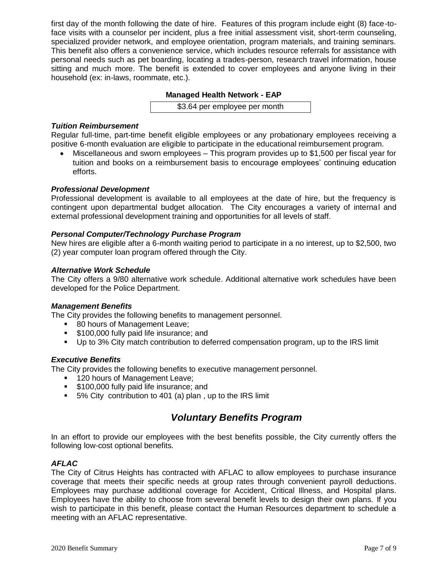first day of the month following the date of hire. Features of this program include eight (8) face-toface visits with a counselor per incident, plus a free initial assessment visit, short-term counseling, specialized provider network, and employee orientation, program materials, and training seminars. This benefit also offers a convenience service, which includes resource referrals for assistance with personal needs such as pet boarding, locating a trades-person, research travel information, house sitting and much more. The benefit is extended to cover employees and anyone living in their household (ex: in-laws, roommate, etc.).

#### **Managed Health Network - EAP**

\$3.64 per employee per month

#### *Tuition Reimbursement*

Regular full-time, part-time benefit eligible employees or any probationary employees receiving a positive 6-month evaluation are eligible to participate in the educational reimbursement program.

 Miscellaneous and sworn employees – This program provides up to \$1,500 per fiscal year for tuition and books on a reimbursement basis to encourage employees' continuing education efforts.

#### *Professional Development*

Professional development is available to all employees at the date of hire, but the frequency is contingent upon departmental budget allocation. The City encourages a variety of internal and external professional development training and opportunities for all levels of staff.

#### *Personal Computer/Technology Purchase Program*

New hires are eligible after a 6-month waiting period to participate in a no interest, up to \$2,500, two (2) year computer loan program offered through the City.

#### *Alternative Work Schedule*

The City offers a 9/80 alternative work schedule. Additional alternative work schedules have been developed for the Police Department.

#### *Management Benefits*

The City provides the following benefits to management personnel.

- **80 hours of Management Leave;**
- **5100,000 fully paid life insurance; and**
- Up to 3% City match contribution to deferred compensation program, up to the IRS limit

## *Executive Benefits*

The City provides the following benefits to executive management personnel.

- **120 hours of Management Leave;**
- **5100,000 fully paid life insurance; and**
- 5% City contribution to 401 (a) plan , up to the IRS limit

## *Voluntary Benefits Program*

In an effort to provide our employees with the best benefits possible, the City currently offers the following low-cost optional benefits.

## *AFLAC*

The City of Citrus Heights has contracted with AFLAC to allow employees to purchase insurance coverage that meets their specific needs at group rates through convenient payroll deductions. Employees may purchase additional coverage for Accident, Critical Illness, and Hospital plans. Employees have the ability to choose from several benefit levels to design their own plans. If you wish to participate in this benefit, please contact the Human Resources department to schedule a meeting with an AFLAC representative.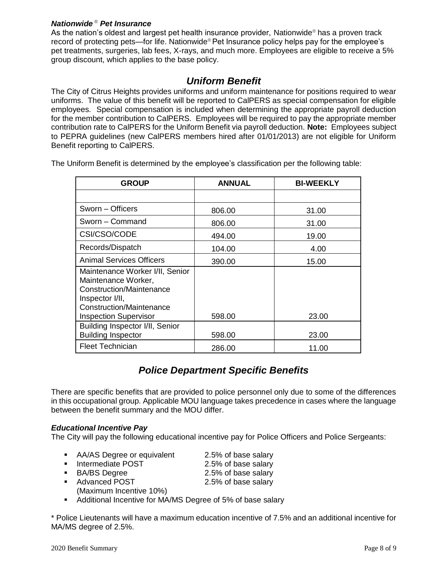## *Nationwide* ® *Pet Insurance*

As the nation's oldest and largest pet health insurance provider, Nationwide® has a proven track record of protecting pets—for life. Nationwide® Pet Insurance policy helps pay for the employee's pet treatments, surgeries, lab fees, X-rays, and much more. Employees are eligible to receive a 5% group discount, which applies to the base policy.

## *Uniform Benefit*

The City of Citrus Heights provides uniforms and uniform maintenance for positions required to wear uniforms. The value of this benefit will be reported to CalPERS as special compensation for eligible employees. Special compensation is included when determining the appropriate payroll deduction for the member contribution to CalPERS. Employees will be required to pay the appropriate member contribution rate to CalPERS for the Uniform Benefit via payroll deduction. **Note:** Employees subject to PEPRA guidelines (new CalPERS members hired after 01/01/2013) are not eligible for Uniform Benefit reporting to CalPERS.

The Uniform Benefit is determined by the employee's classification per the following table:

| <b>GROUP</b>                                                                                                                                                      | <b>ANNUAL</b> | <b>BI-WEEKLY</b> |
|-------------------------------------------------------------------------------------------------------------------------------------------------------------------|---------------|------------------|
|                                                                                                                                                                   |               |                  |
| Sworn – Officers                                                                                                                                                  | 806.00        | 31.00            |
| Sworn - Command                                                                                                                                                   | 806.00        | 31.00            |
| CSI/CSO/CODE                                                                                                                                                      | 494.00        | 19.00            |
| Records/Dispatch                                                                                                                                                  | 104.00        | 4.00             |
| <b>Animal Services Officers</b>                                                                                                                                   | 390.00        | 15.00            |
| Maintenance Worker I/II, Senior<br>Maintenance Worker,<br>Construction/Maintenance<br>Inspector I/II,<br>Construction/Maintenance<br><b>Inspection Supervisor</b> | 598.00        | 23.00            |
| Building Inspector I/II, Senior<br><b>Building Inspector</b>                                                                                                      | 598.00        | 23.00            |
| <b>Fleet Technician</b>                                                                                                                                           | 286.00        | 11.00            |

## *Police Department Specific Benefits*

There are specific benefits that are provided to police personnel only due to some of the differences in this occupational group. Applicable MOU language takes precedence in cases where the language between the benefit summary and the MOU differ.

## *Educational Incentive Pay*

The City will pay the following educational incentive pay for Police Officers and Police Sergeants:

- AA/AS Degree or equivalent 2.5% of base salary
- Intermediate POST 2.5% of base salary
- 
- BA/BS Degree 2.5% of base salary
- Advanced POST 2.5% of base salary
- (Maximum Incentive 10%)
- Additional Incentive for MA/MS Degree of 5% of base salary

\* Police Lieutenants will have a maximum education incentive of 7.5% and an additional incentive for MA/MS degree of 2.5%.